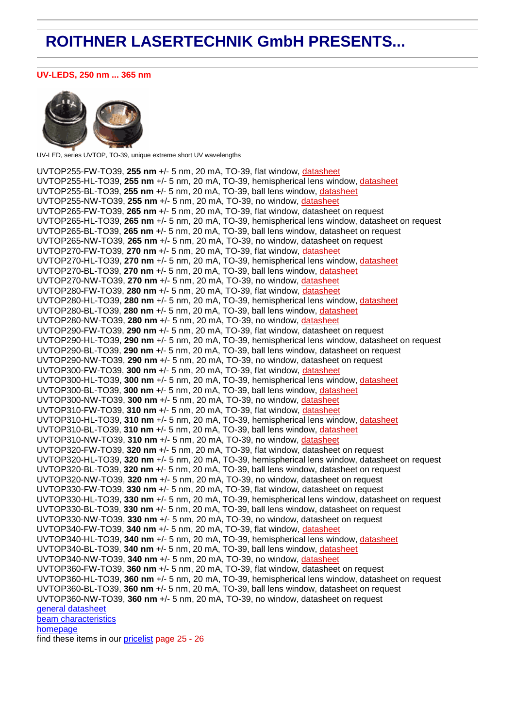# **ROITHNER LASERTECHNIK GmbH PRESENTS...**

### **UV-LEDS, 250 nm ... 365 nm**



UV-LED, series UVTOP, TO-39, unique extreme short UV wavelengths

UVTOP255-FW-TO39, **255 nm** +/- 5 nm, 20 mA, TO-39, flat window, [datasheet](http://www.roithner-laser.com/All_Datasheets/LEDs/UVTOP255.pdf) UVTOP255-HL-TO39, **255 nm** +/- 5 nm, 20 mA, TO-39, hemispherical lens window, [datasheet](http://www.roithner-laser.com/All_Datasheets/LEDs/UVTOP255.pdf) UVTOP255-BL-TO39, **255 nm** +/- 5 nm, 20 mA, TO-39, ball lens window, [datasheet](http://www.roithner-laser.com/All_Datasheets/LEDs/UVTOP255.pdf) UVTOP255-NW-TO39, **255 nm** +/- 5 nm, 20 mA, TO-39, no window, [datasheet](http://www.roithner-laser.com/All_Datasheets/LEDs/UVTOP255.pdf) UVTOP265-FW-TO39, **265 nm** +/- 5 nm, 20 mA, TO-39, flat window, datasheet on request UVTOP265-HL-TO39, **265 nm** +/- 5 nm, 20 mA, TO-39, hemispherical lens window, datasheet on request UVTOP265-BL-TO39, **265 nm** +/- 5 nm, 20 mA, TO-39, ball lens window, datasheet on request UVTOP265-NW-TO39, **265 nm** +/- 5 nm, 20 mA, TO-39, no window, datasheet on request UVTOP270-FW-TO39, **270 nm** +/- 5 nm, 20 mA, TO-39, flat window, [datasheet](http://www.roithner-laser.com/All_Datasheets/LEDs/UVTOP270.pdf) UVTOP270-HL-TO39, **270 nm** +/- 5 nm, 20 mA, TO-39, hemispherical lens window, [datasheet](http://www.roithner-laser.com/All_Datasheets/LEDs/UVTOP270.pdf) UVTOP270-BL-TO39, **270 nm** +/- 5 nm, 20 mA, TO-39, ball lens window, [datasheet](http://www.roithner-laser.com/All_Datasheets/LEDs/UVTOP270.pdf) UVTOP270-NW-TO39, **270 nm** +/- 5 nm, 20 mA, TO-39, no window, [datasheet](http://www.roithner-laser.com/All_Datasheets/LEDs/UVTOP270.pdf) UVTOP280-FW-TO39, **280 nm** +/- 5 nm, 20 mA, TO-39, flat window, [datasheet](http://www.roithner-laser.com/All_Datasheets/LEDs/UVTOP280.pdf) UVTOP280-HL-TO39, **280 nm** +/- 5 nm, 20 mA, TO-39, hemispherical lens window, [datasheet](http://www.roithner-laser.com/All_Datasheets/LEDs/UVTOP280.pdf) UVTOP280-BL-TO39, **280 nm** +/- 5 nm, 20 mA, TO-39, ball lens window, [datasheet](http://www.roithner-laser.com/All_Datasheets/LEDs/UVTOP280.pdf) UVTOP280-NW-TO39, **280 nm** +/- 5 nm, 20 mA, TO-39, no window, [datasheet](http://www.roithner-laser.com/All_Datasheets/LEDs/UVTOP280.pdf) UVTOP290-FW-TO39, **290 nm** +/- 5 nm, 20 mA, TO-39, flat window, datasheet on request UVTOP290-HL-TO39, **290 nm** +/- 5 nm, 20 mA, TO-39, hemispherical lens window, datasheet on request UVTOP290-BL-TO39, **290 nm** +/- 5 nm, 20 mA, TO-39, ball lens window, datasheet on request UVTOP290-NW-TO39, **290 nm** +/- 5 nm, 20 mA, TO-39, no window, datasheet on request UVTOP300-FW-TO39, **300 nm** +/- 5 nm, 20 mA, TO-39, flat window, [datasheet](http://www.roithner-laser.com/All_Datasheets/LEDs/UVTOP300.pdf) UVTOP300-HL-TO39, **300 nm** +/- 5 nm, 20 mA, TO-39, hemispherical lens window, [datasheet](http://www.roithner-laser.com/All_Datasheets/LEDs/UVTOP300.pdf) UVTOP300-BL-TO39, **300 nm** +/- 5 nm, 20 mA, TO-39, ball lens window, [datasheet](http://www.roithner-laser.com/All_Datasheets/LEDs/UVTOP300.pdf) UVTOP300-NW-TO39, **300 nm** +/- 5 nm, 20 mA, TO-39, no window, [datasheet](http://www.roithner-laser.com/All_Datasheets/LEDs/UVTOP300.pdf) UVTOP310-FW-TO39, **310 nm** +/- 5 nm, 20 mA, TO-39, flat window, [datasheet](http://www.roithner-laser.com/All_Datasheets/LEDs/UVTOP310.pdf) UVTOP310-HL-TO39, **310 nm** +/- 5 nm, 20 mA, TO-39, hemispherical lens window, [datasheet](http://www.roithner-laser.com/All_Datasheets/LEDs/UVTOP310.pdf) UVTOP310-BL-TO39, **310 nm** +/- 5 nm, 20 mA, TO-39, ball lens window, [datasheet](http://www.roithner-laser.com/All_Datasheets/LEDs/UVTOP310.pdf) UVTOP310-NW-TO39, **310 nm** +/- 5 nm, 20 mA, TO-39, no window, [datasheet](http://www.roithner-laser.com/All_Datasheets/LEDs/UVTOP310.pdf) UVTOP320-FW-TO39, **320 nm** +/- 5 nm, 20 mA, TO-39, flat window, datasheet on request UVTOP320-HL-TO39, **320 nm** +/- 5 nm, 20 mA, TO-39, hemispherical lens window, datasheet on request UVTOP320-BL-TO39, **320 nm** +/- 5 nm, 20 mA, TO-39, ball lens window, datasheet on request UVTOP320-NW-TO39, **320 nm** +/- 5 nm, 20 mA, TO-39, no window, datasheet on request UVTOP330-FW-TO39, **330 nm** +/- 5 nm, 20 mA, TO-39, flat window, datasheet on request UVTOP330-HL-TO39, **330 nm** +/- 5 nm, 20 mA, TO-39, hemispherical lens window, datasheet on request UVTOP330-BL-TO39, **330 nm** +/- 5 nm, 20 mA, TO-39, ball lens window, datasheet on request UVTOP330-NW-TO39, **330 nm** +/- 5 nm, 20 mA, TO-39, no window, datasheet on request UVTOP340-FW-TO39, **340 nm** +/- 5 nm, 20 mA, TO-39, flat window, [datasheet](http://www.roithner-laser.com/All_Datasheets/LEDs/UVTOP340.pdf) UVTOP340-HL-TO39, **340 nm** +/- 5 nm, 20 mA, TO-39, hemispherical lens window, [datasheet](http://www.roithner-laser.com/All_Datasheets/LEDs/UVTOP340.pdf) UVTOP340-BL-TO39, **340 nm** +/- 5 nm, 20 mA, TO-39, ball lens window, [datasheet](http://www.roithner-laser.com/All_Datasheets/LEDs/UVTOP340.pdf) UVTOP340-NW-TO39, **340 nm** +/- 5 nm, 20 mA, TO-39, no window, [datasheet](http://www.roithner-laser.com/All_Datasheets/LEDs/UVTOP340.pdf) UVTOP360-FW-TO39, **360 nm** +/- 5 nm, 20 mA, TO-39, flat window, datasheet on request UVTOP360-HL-TO39, **360 nm** +/- 5 nm, 20 mA, TO-39, hemispherical lens window, datasheet on request UVTOP360-BL-TO39, **360 nm** +/- 5 nm, 20 mA, TO-39, ball lens window, datasheet on request UVTOP360-NW-TO39, **360 nm** +/- 5 nm, 20 mA, TO-39, no window, datasheet on request [general datasheet](http://www.roithner-laser.com/All_Datasheets/LEDs/UVTOP_250-365.pdf) [beam characteristics](http://www.roithner-laser.com/All_Datasheets/LEDs/UVTOP_beam_char.pdf) [homepage](http://www.roithner-laser.com/LED_diverse.htm) find these items in our [pricelist](http://www.roithner-laser.com/All_Datasheets/Pricelists/pricelist-c-060301.pdf) page 25 - 26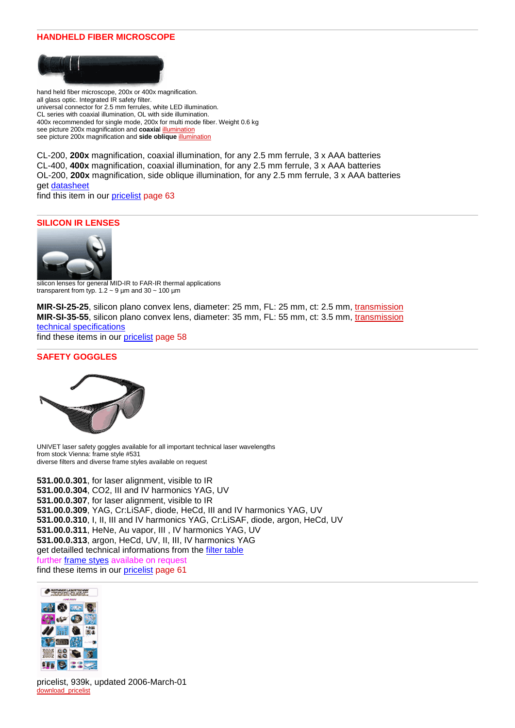## **HANDHELD FIBER MICROSCOPE**



hand held fiber microscope, 200x or 400x magnification. all glass optic. Integrated IR safety filter. universal connector for 2.5 mm ferrules, white LED illumination. CL series with coaxial illumination, OL with side illumination. 400x recommended for single mode, 200x for multi mode fiber. Weight 0.6 kg see picture 200x magnification and **coaxia**[l illumination](http://www.roithner-laser.com/All_Datasheets/Fibermicroscope/coaxial_light.jpg) see picture 200x magnification and **side oblique** [illumination](http://www.roithner-laser.com/All_Datasheets/Fibermicroscope/oblique_light.jpg)

CL-200, **200x** magnification, coaxial illumination, for any 2.5 mm ferrule, 3 x AAA batteries CL-400, **400x** magnification, coaxial illumination, for any 2.5 mm ferrule, 3 x AAA batteries OL-200, **200x** magnification, side oblique illumination, for any 2.5 mm ferrule, 3 x AAA batteries get [datasheet](http://www.roithner-laser.com/All_Datasheets/Fibermicroscope/fiber_microscope_series_OL_CL.pdf)

find this item in our [pricelist](http://www.roithner-laser.com/All_Datasheets/Pricelists/pricelist-c-060301.pdf) page 63

### **SILICON IR LENSES**



silicon lenses for general MID-IR to FAR-IR thermal applications transparent from typ.  $1.2 \sim 9$  µm and  $30 \sim 100$  µm

**MIR-SI-25-25**, silicon plano convex lens, diameter: 25 mm, FL: 25 mm, ct: 2.5 mm, [transmission](http://www.roithner-laser.com/Pictures/transmission_Si.gif) **MIR-SI-35-55**, silicon plano convex lens, diameter: 35 mm, FL: 55 mm, ct: 3.5 mm, [transmission](http://www.roithner-laser.com/Pictures/transmission_Si.gif) [technical specifications](http://www.roithner-laser.com/All_Datasheets/Thermopile/silicon_tech_specs.pdf) find these items in our [pricelist](http://www.roithner-laser.com/All_Datasheets/Pricelists/pricelist-c-060301.pdf) page 58

## **SAFETY GOGGLES**



UNIVET laser safety goggles available for all important technical laser wavelengths from stock Vienna: frame style #531 diverse filters and diverse frame styles available on request

**531.00.0.301**, for laser alignment, visible to IR **531.00.0.304**, CO2, III and IV harmonics YAG, UV **531.00.0.307**, for laser alignment, visible to IR **531.00.0.309**, YAG, Cr:LiSAF, diode, HeCd, III and IV harmonics YAG, UV **531.00.0.310**, I, II, III and IV harmonics YAG, Cr:LiSAF, diode, argon, HeCd, UV **531.00.0.311**, HeNe, Au vapor, III , IV harmonics YAG, UV **531.00.0.313**, argon, HeCd, UV, II, III, IV harmonics YAG get detailled technical informations from the [filter table](http://www.univet.it/tabella_laser_nuova.html) further [frame styes](http://www.univet.it/preview_laser.php?tip=laser&lng=3) availabe on request find these items in our [pricelist](http://www.roithner-laser.com/All_Datasheets/Pricelists/pricelist-c-060301.pdf) page 61



pricelist, 939k, updated 2006-March-01 [download\\_pricelist](http://www.roithner-laser.com/All_Datasheets/Pricelists/pricelist-c-060301.pdf)